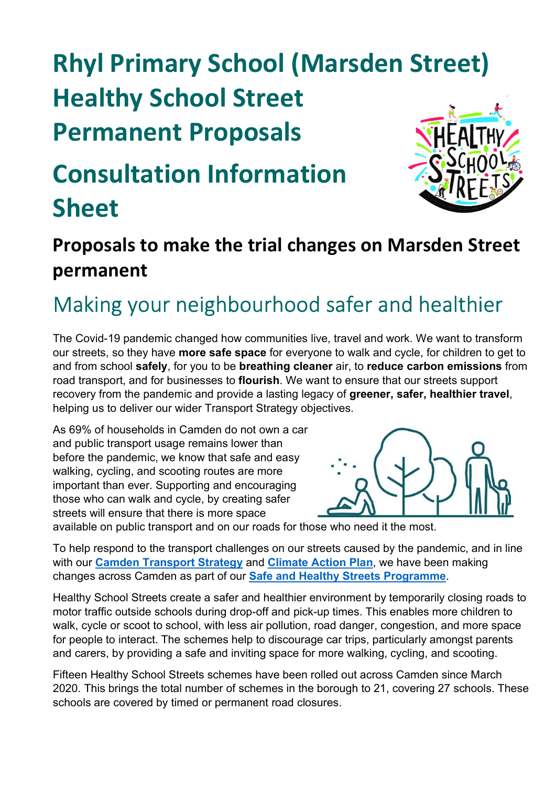# Rhyl Primary School (Marsden Street) Healthy School Street Permanent Proposals

## Consultation Information Sheet



#### Proposals to make the trial changes on Marsden Street permanent

### Making your neighbourhood safer and healthier

The Covid-19 pandemic changed how communities live, travel and work. We want to transform our streets, so they have more safe space for everyone to walk and cycle, for children to get to and from school safely, for you to be breathing cleaner air, to reduce carbon emissions from road transport, and for businesses to flourish. We want to ensure that our streets support recovery from the pandemic and provide a lasting legacy of greener, safer, healthier travel, helping us to deliver our wider Transport Strategy objectives.

As 69% of households in Camden do not own a car and public transport usage remains lower than before the pandemic, we know that safe and easy walking, cycling, and scooting routes are more important than ever. Supporting and encouraging those who can walk and cycle, by creating safer streets will ensure that there is more space



available on public transport and on our roads for those who need it the most.

To help respond to the transport challenges on our streets caused by the pandemic, and in line with our Camden Transport Strategy and Climate Action Plan, we have been making changes across Camden as part of our Safe and Healthy Streets Programme.

Healthy School Streets create a safer and healthier environment by temporarily closing roads to motor traffic outside schools during drop-off and pick-up times. This enables more children to walk, cycle or scoot to school, with less air pollution, road danger, congestion, and more space for people to interact. The schemes help to discourage car trips, particularly amongst parents and carers, by providing a safe and inviting space for more walking, cycling, and scooting.

Fifteen Healthy School Streets schemes have been rolled out across Camden since March 2020. This brings the total number of schemes in the borough to 21, covering 27 schools. These schools are covered by timed or permanent road closures.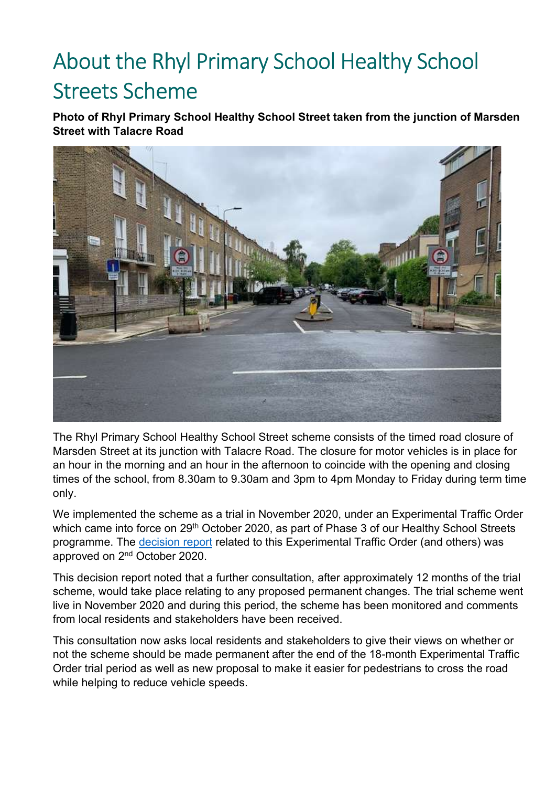## About the Rhyl Primary School Healthy School Streets Scheme

Photo of Rhyl Primary School Healthy School Street taken from the junction of Marsden Street with Talacre Road



The Rhyl Primary School Healthy School Street scheme consists of the timed road closure of Marsden Street at its junction with Talacre Road. The closure for motor vehicles is in place for an hour in the morning and an hour in the afternoon to coincide with the opening and closing times of the school, from 8.30am to 9.30am and 3pm to 4pm Monday to Friday during term time only.

We implemented the scheme as a trial in November 2020, under an Experimental Traffic Order which came into force on 29<sup>th</sup> October 2020, as part of Phase 3 of our Healthy School Streets programme. The decision report related to this Experimental Traffic Order (and others) was approved on 2nd October 2020.

This decision report noted that a further consultation, after approximately 12 months of the trial scheme, would take place relating to any proposed permanent changes. The trial scheme went live in November 2020 and during this period, the scheme has been monitored and comments from local residents and stakeholders have been received.

This consultation now asks local residents and stakeholders to give their views on whether or not the scheme should be made permanent after the end of the 18-month Experimental Traffic Order trial period as well as new proposal to make it easier for pedestrians to cross the road while helping to reduce vehicle speeds.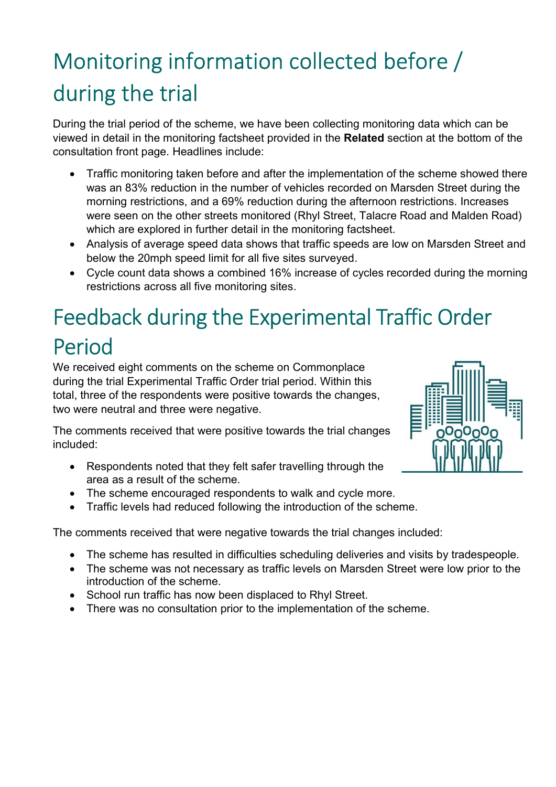## Monitoring information collected before / during the trial

During the trial period of the scheme, we have been collecting monitoring data which can be viewed in detail in the monitoring factsheet provided in the Related section at the bottom of the consultation front page. Headlines include:

- Traffic monitoring taken before and after the implementation of the scheme showed there was an 83% reduction in the number of vehicles recorded on Marsden Street during the morning restrictions, and a 69% reduction during the afternoon restrictions. Increases were seen on the other streets monitored (Rhyl Street, Talacre Road and Malden Road) which are explored in further detail in the monitoring factsheet.
- Analysis of average speed data shows that traffic speeds are low on Marsden Street and below the 20mph speed limit for all five sites surveyed.
- Cycle count data shows a combined 16% increase of cycles recorded during the morning restrictions across all five monitoring sites.

### Feedback during the Experimental Traffic Order Period

We received eight comments on the scheme on Commonplace during the trial Experimental Traffic Order trial period. Within this total, three of the respondents were positive towards the changes, two were neutral and three were negative.

The comments received that were positive towards the trial changes included:

- Respondents noted that they felt safer travelling through the area as a result of the scheme.
- The scheme encouraged respondents to walk and cycle more.
- Traffic levels had reduced following the introduction of the scheme.

The comments received that were negative towards the trial changes included:

- The scheme has resulted in difficulties scheduling deliveries and visits by tradespeople.
- The scheme was not necessary as traffic levels on Marsden Street were low prior to the introduction of the scheme.
- School run traffic has now been displaced to Rhyl Street.
- There was no consultation prior to the implementation of the scheme.

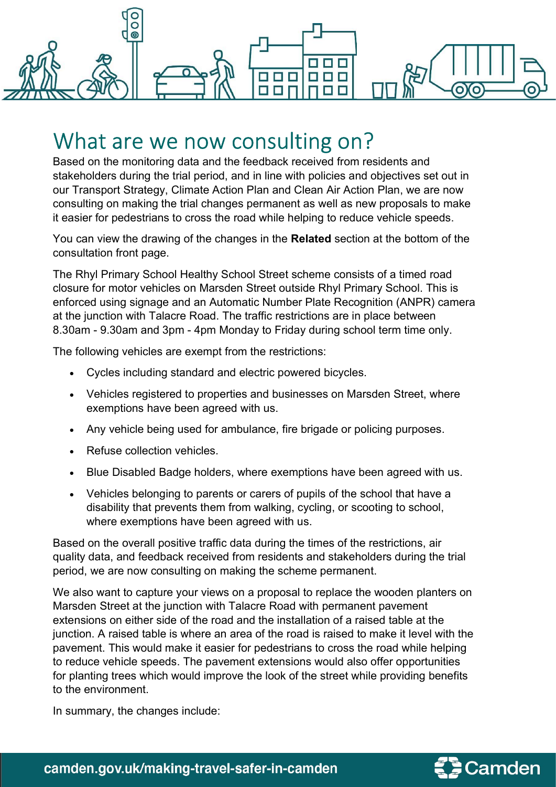

### What are we now consulting on?

Based on the monitoring data and the feedback received from residents and stakeholders during the trial period, and in line with policies and objectives set out in our Transport Strategy, Climate Action Plan and Clean Air Action Plan, we are now consulting on making the trial changes permanent as well as new proposals to make it easier for pedestrians to cross the road while helping to reduce vehicle speeds.

You can view the drawing of the changes in the Related section at the bottom of the consultation front page.

The Rhyl Primary School Healthy School Street scheme consists of a timed road closure for motor vehicles on Marsden Street outside Rhyl Primary School. This is enforced using signage and an Automatic Number Plate Recognition (ANPR) camera at the junction with Talacre Road. The traffic restrictions are in place between 8.30am - 9.30am and 3pm - 4pm Monday to Friday during school term time only.

The following vehicles are exempt from the restrictions:

- Cycles including standard and electric powered bicycles.
- Vehicles registered to properties and businesses on Marsden Street, where exemptions have been agreed with us.
- Any vehicle being used for ambulance, fire brigade or policing purposes.
- Refuse collection vehicles.
- Blue Disabled Badge holders, where exemptions have been agreed with us.
- Vehicles belonging to parents or carers of pupils of the school that have a disability that prevents them from walking, cycling, or scooting to school, where exemptions have been agreed with us.

Based on the overall positive traffic data during the times of the restrictions, air quality data, and feedback received from residents and stakeholders during the trial period, we are now consulting on making the scheme permanent.

We also want to capture your views on a proposal to replace the wooden planters on Marsden Street at the junction with Talacre Road with permanent pavement extensions on either side of the road and the installation of a raised table at the junction. A raised table is where an area of the road is raised to make it level with the pavement. This would make it easier for pedestrians to cross the road while helping to reduce vehicle speeds. The pavement extensions would also offer opportunities for planting trees which would improve the look of the street while providing benefits to the environment.

In summary, the changes include:

camden.gov.uk/making-travel-safer-in-camden